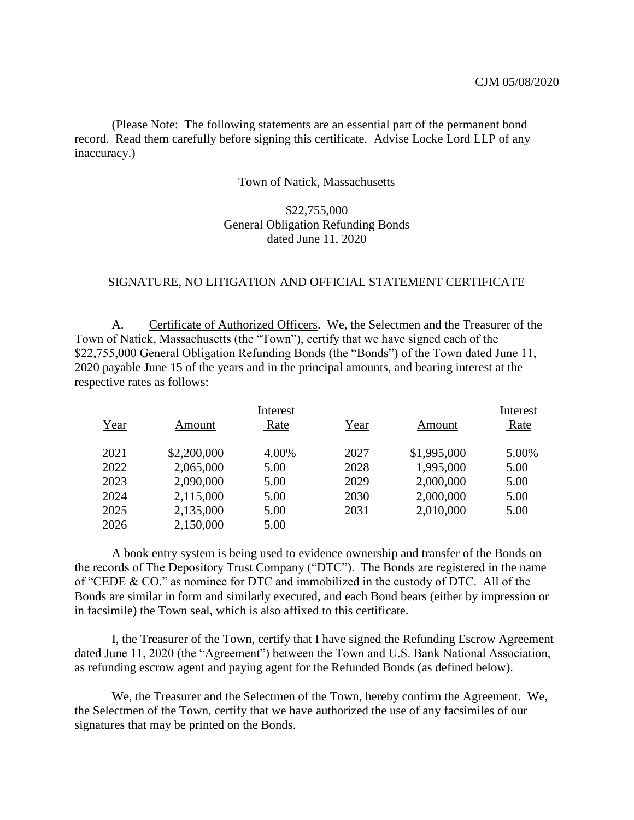(Please Note: The following statements are an essential part of the permanent bond record. Read them carefully before signing this certificate. Advise Locke Lord LLP of any inaccuracy.)

## Town of Natick, Massachusetts

## \$22,755,000 General Obligation Refunding Bonds dated June 11, 2020

## SIGNATURE, NO LITIGATION AND OFFICIAL STATEMENT CERTIFICATE

A. Certificate of Authorized Officers. We, the Selectmen and the Treasurer of the Town of Natick, Massachusetts (the "Town"), certify that we have signed each of the \$22,755,000 General Obligation Refunding Bonds (the "Bonds") of the Town dated June 11, 2020 payable June 15 of the years and in the principal amounts, and bearing interest at the respective rates as follows:

|      | Interest    |       |      | Interest    |       |
|------|-------------|-------|------|-------------|-------|
| Year | Amount      | Rate  | Year | Amount      | Rate  |
| 2021 | \$2,200,000 | 4.00% | 2027 | \$1,995,000 | 5.00% |
| 2022 | 2,065,000   | 5.00  | 2028 | 1,995,000   | 5.00  |
| 2023 | 2,090,000   | 5.00  | 2029 | 2,000,000   | 5.00  |
| 2024 | 2,115,000   | 5.00  | 2030 | 2,000,000   | 5.00  |
| 2025 | 2,135,000   | 5.00  | 2031 | 2,010,000   | 5.00  |
| 2026 | 2,150,000   | 5.00  |      |             |       |

A book entry system is being used to evidence ownership and transfer of the Bonds on the records of The Depository Trust Company ("DTC"). The Bonds are registered in the name of "CEDE & CO." as nominee for DTC and immobilized in the custody of DTC. All of the Bonds are similar in form and similarly executed, and each Bond bears (either by impression or in facsimile) the Town seal, which is also affixed to this certificate.

I, the Treasurer of the Town, certify that I have signed the Refunding Escrow Agreement dated June 11, 2020 (the "Agreement") between the Town and U.S. Bank National Association, as refunding escrow agent and paying agent for the Refunded Bonds (as defined below).

We, the Treasurer and the Selectmen of the Town, hereby confirm the Agreement. We, the Selectmen of the Town, certify that we have authorized the use of any facsimiles of our signatures that may be printed on the Bonds.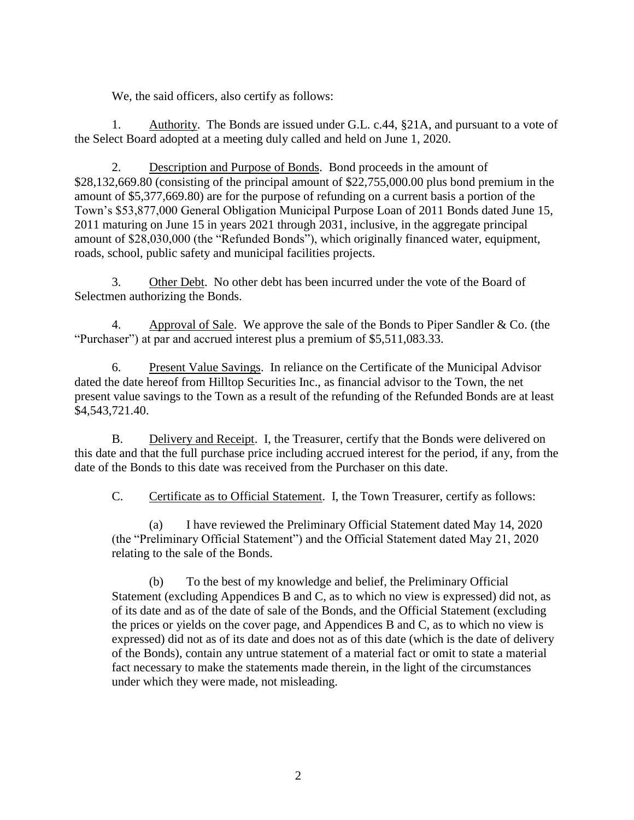We, the said officers, also certify as follows:

1. Authority. The Bonds are issued under G.L. c.44, §21A, and pursuant to a vote of the Select Board adopted at a meeting duly called and held on June 1, 2020.

2. Description and Purpose of Bonds. Bond proceeds in the amount of \$28,132,669.80 (consisting of the principal amount of \$22,755,000.00 plus bond premium in the amount of \$5,377,669.80) are for the purpose of refunding on a current basis a portion of the Town's \$53,877,000 General Obligation Municipal Purpose Loan of 2011 Bonds dated June 15, 2011 maturing on June 15 in years 2021 through 2031, inclusive, in the aggregate principal amount of \$28,030,000 (the "Refunded Bonds"), which originally financed water, equipment, roads, school, public safety and municipal facilities projects.

3. Other Debt. No other debt has been incurred under the vote of the Board of Selectmen authorizing the Bonds.

4. Approval of Sale. We approve the sale of the Bonds to Piper Sandler & Co. (the "Purchaser") at par and accrued interest plus a premium of \$5,511,083.33.

6. Present Value Savings. In reliance on the Certificate of the Municipal Advisor dated the date hereof from Hilltop Securities Inc., as financial advisor to the Town, the net present value savings to the Town as a result of the refunding of the Refunded Bonds are at least \$4,543,721.40.

B. Delivery and Receipt. I, the Treasurer, certify that the Bonds were delivered on this date and that the full purchase price including accrued interest for the period, if any, from the date of the Bonds to this date was received from the Purchaser on this date.

C. Certificate as to Official Statement. I, the Town Treasurer, certify as follows:

(a) I have reviewed the Preliminary Official Statement dated May 14, 2020 (the "Preliminary Official Statement") and the Official Statement dated May 21, 2020 relating to the sale of the Bonds.

(b) To the best of my knowledge and belief, the Preliminary Official Statement (excluding Appendices B and C, as to which no view is expressed) did not, as of its date and as of the date of sale of the Bonds, and the Official Statement (excluding the prices or yields on the cover page, and Appendices B and C, as to which no view is expressed) did not as of its date and does not as of this date (which is the date of delivery of the Bonds), contain any untrue statement of a material fact or omit to state a material fact necessary to make the statements made therein, in the light of the circumstances under which they were made, not misleading.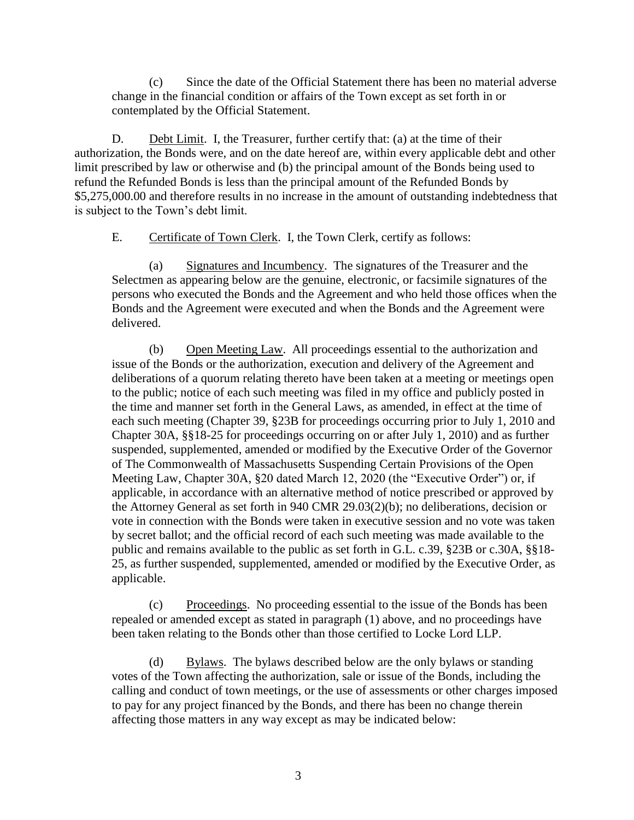(c) Since the date of the Official Statement there has been no material adverse change in the financial condition or affairs of the Town except as set forth in or contemplated by the Official Statement.

D. Debt Limit. I, the Treasurer, further certify that: (a) at the time of their authorization, the Bonds were, and on the date hereof are, within every applicable debt and other limit prescribed by law or otherwise and (b) the principal amount of the Bonds being used to refund the Refunded Bonds is less than the principal amount of the Refunded Bonds by \$5,275,000.00 and therefore results in no increase in the amount of outstanding indebtedness that is subject to the Town's debt limit.

E. Certificate of Town Clerk. I, the Town Clerk, certify as follows:

(a) Signatures and Incumbency. The signatures of the Treasurer and the Selectmen as appearing below are the genuine, electronic, or facsimile signatures of the persons who executed the Bonds and the Agreement and who held those offices when the Bonds and the Agreement were executed and when the Bonds and the Agreement were delivered.

(b) Open Meeting Law. All proceedings essential to the authorization and issue of the Bonds or the authorization, execution and delivery of the Agreement and deliberations of a quorum relating thereto have been taken at a meeting or meetings open to the public; notice of each such meeting was filed in my office and publicly posted in the time and manner set forth in the General Laws, as amended, in effect at the time of each such meeting (Chapter 39, §23B for proceedings occurring prior to July 1, 2010 and Chapter 30A, §§18-25 for proceedings occurring on or after July 1, 2010) and as further suspended, supplemented, amended or modified by the Executive Order of the Governor of The Commonwealth of Massachusetts Suspending Certain Provisions of the Open Meeting Law, Chapter 30A, §20 dated March 12, 2020 (the "Executive Order") or, if applicable, in accordance with an alternative method of notice prescribed or approved by the Attorney General as set forth in 940 CMR 29.03(2)(b); no deliberations, decision or vote in connection with the Bonds were taken in executive session and no vote was taken by secret ballot; and the official record of each such meeting was made available to the public and remains available to the public as set forth in G.L. c.39, §23B or c.30A, §§18- 25, as further suspended, supplemented, amended or modified by the Executive Order, as applicable.

(c) Proceedings. No proceeding essential to the issue of the Bonds has been repealed or amended except as stated in paragraph (1) above, and no proceedings have been taken relating to the Bonds other than those certified to Locke Lord LLP.

(d) Bylaws. The bylaws described below are the only bylaws or standing votes of the Town affecting the authorization, sale or issue of the Bonds, including the calling and conduct of town meetings, or the use of assessments or other charges imposed to pay for any project financed by the Bonds, and there has been no change therein affecting those matters in any way except as may be indicated below: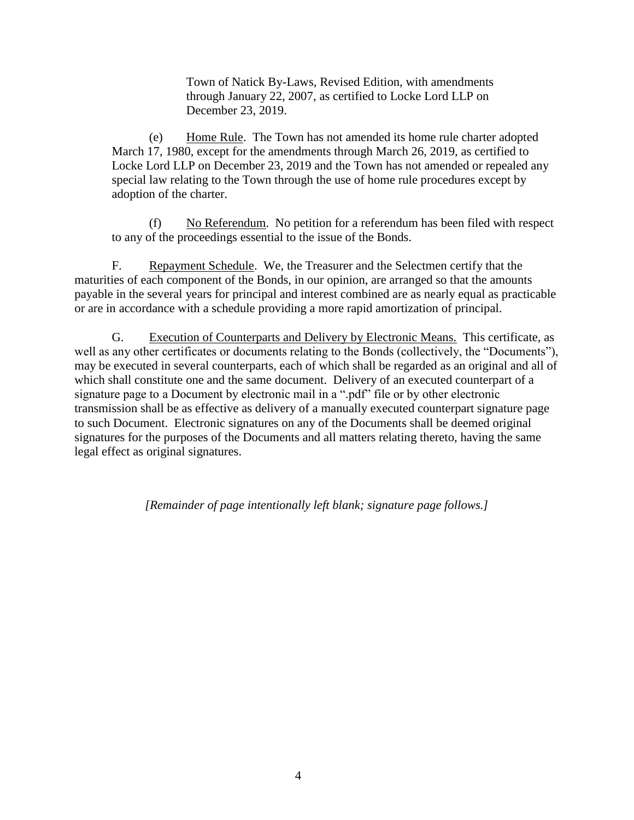Town of Natick By-Laws, Revised Edition, with amendments through January 22, 2007, as certified to Locke Lord LLP on December 23, 2019.

(e) Home Rule. The Town has not amended its home rule charter adopted March 17, 1980, except for the amendments through March 26, 2019, as certified to Locke Lord LLP on December 23, 2019 and the Town has not amended or repealed any special law relating to the Town through the use of home rule procedures except by adoption of the charter.

(f) No Referendum. No petition for a referendum has been filed with respect to any of the proceedings essential to the issue of the Bonds.

F. Repayment Schedule. We, the Treasurer and the Selectmen certify that the maturities of each component of the Bonds, in our opinion, are arranged so that the amounts payable in the several years for principal and interest combined are as nearly equal as practicable or are in accordance with a schedule providing a more rapid amortization of principal.

G. Execution of Counterparts and Delivery by Electronic Means. This certificate, as well as any other certificates or documents relating to the Bonds (collectively, the "Documents"), may be executed in several counterparts, each of which shall be regarded as an original and all of which shall constitute one and the same document. Delivery of an executed counterpart of a signature page to a Document by electronic mail in a ".pdf" file or by other electronic transmission shall be as effective as delivery of a manually executed counterpart signature page to such Document. Electronic signatures on any of the Documents shall be deemed original signatures for the purposes of the Documents and all matters relating thereto, having the same legal effect as original signatures.

*[Remainder of page intentionally left blank; signature page follows.]*